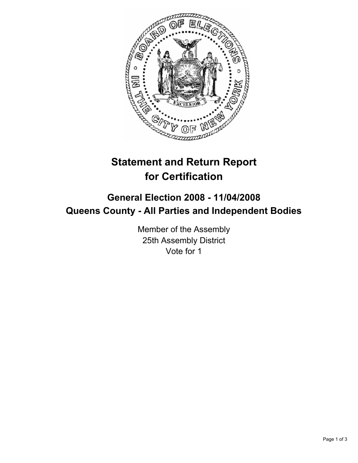

# **Statement and Return Report for Certification**

## **General Election 2008 - 11/04/2008 Queens County - All Parties and Independent Bodies**

Member of the Assembly 25th Assembly District Vote for 1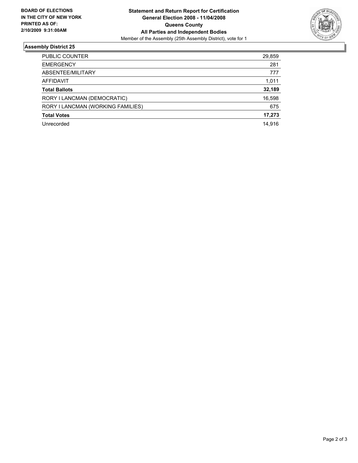

### **Assembly District 25**

| PUBLIC COUNTER                    | 29,859 |
|-----------------------------------|--------|
| <b>EMERGENCY</b>                  | 281    |
| ABSENTEE/MILITARY                 | 777    |
| AFFIDAVIT                         | 1,011  |
| <b>Total Ballots</b>              | 32,189 |
| RORY I LANCMAN (DEMOCRATIC)       | 16,598 |
| RORY I LANCMAN (WORKING FAMILIES) | 675    |
| <b>Total Votes</b>                | 17,273 |
| Unrecorded                        | 14,916 |
|                                   |        |